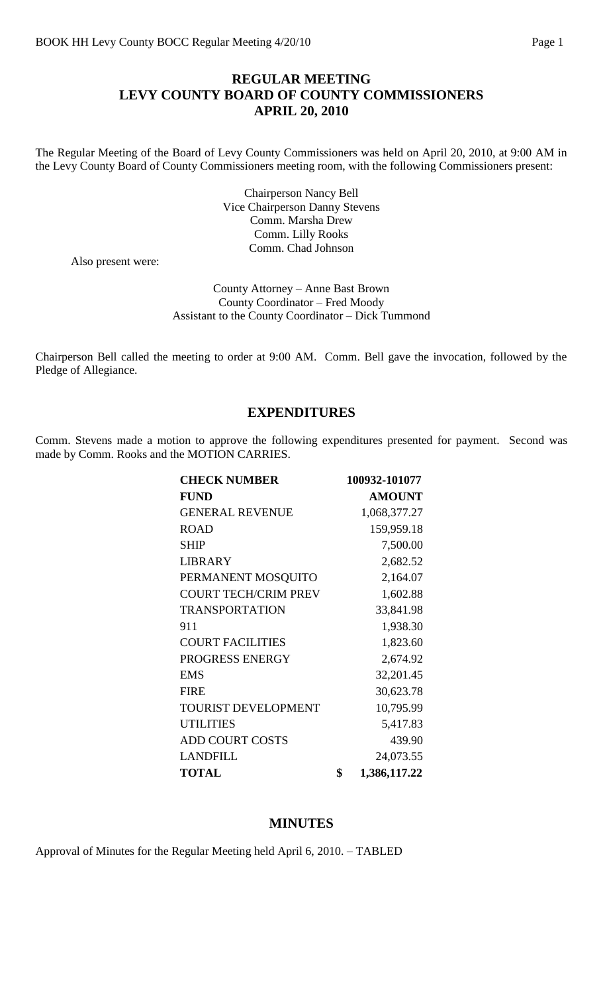# **REGULAR MEETING LEVY COUNTY BOARD OF COUNTY COMMISSIONERS APRIL 20, 2010**

The Regular Meeting of the Board of Levy County Commissioners was held on April 20, 2010, at 9:00 AM in the Levy County Board of County Commissioners meeting room, with the following Commissioners present:

> Chairperson Nancy Bell Vice Chairperson Danny Stevens Comm. Marsha Drew Comm. Lilly Rooks Comm. Chad Johnson

Also present were:

County Attorney – Anne Bast Brown County Coordinator – Fred Moody Assistant to the County Coordinator – Dick Tummond

Chairperson Bell called the meeting to order at 9:00 AM. Comm. Bell gave the invocation, followed by the Pledge of Allegiance.

#### **EXPENDITURES**

Comm. Stevens made a motion to approve the following expenditures presented for payment. Second was made by Comm. Rooks and the MOTION CARRIES.

| <b>CHECK NUMBER</b>         | 100932-101077      |
|-----------------------------|--------------------|
| <b>FUND</b>                 | <b>AMOUNT</b>      |
| <b>GENERAL REVENUE</b>      | 1,068,377.27       |
| <b>ROAD</b>                 | 159,959.18         |
| <b>SHIP</b>                 | 7,500.00           |
| <b>LIBRARY</b>              | 2,682.52           |
| PERMANENT MOSQUITO          | 2,164.07           |
| <b>COURT TECH/CRIM PREV</b> | 1,602.88           |
| <b>TRANSPORTATION</b>       | 33,841.98          |
| 911                         | 1,938.30           |
| <b>COURT FACILITIES</b>     | 1,823.60           |
| PROGRESS ENERGY             | 2,674.92           |
| <b>EMS</b>                  | 32,201.45          |
| <b>FIRE</b>                 | 30,623.78          |
| <b>TOURIST DEVELOPMENT</b>  | 10,795.99          |
| <b>UTILITIES</b>            | 5,417.83           |
| <b>ADD COURT COSTS</b>      | 439.90             |
| <b>LANDFILL</b>             | 24,073.55          |
| <b>TOTAL</b>                | \$<br>1,386,117.22 |

#### **MINUTES**

Approval of Minutes for the Regular Meeting held April 6, 2010. – TABLED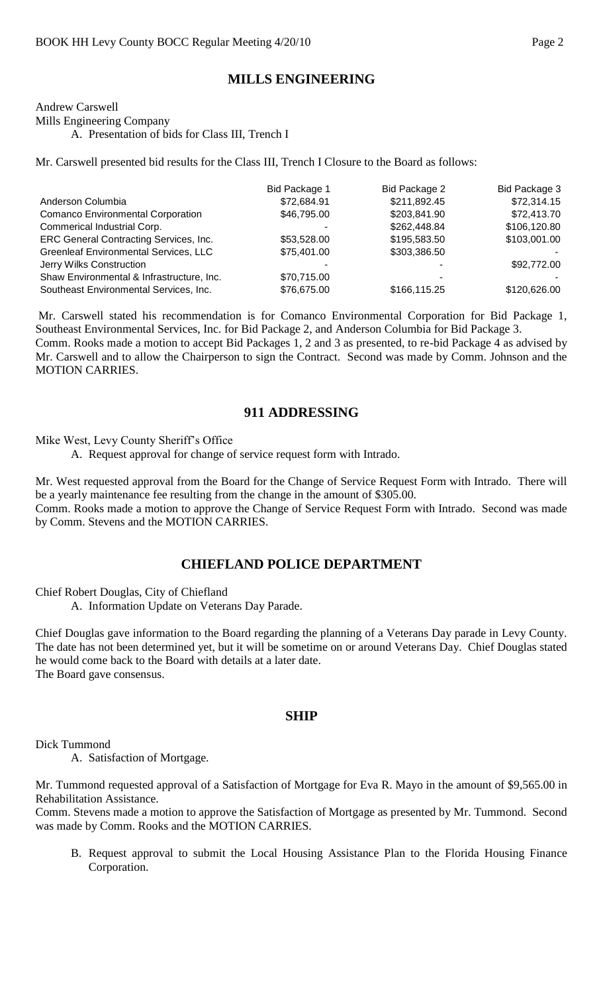## **MILLS ENGINEERING**

Andrew Carswell Mills Engineering Company

A. Presentation of bids for Class III, Trench I

Mr. Carswell presented bid results for the Class III, Trench I Closure to the Board as follows:

|                                              | Bid Package 1 | Bid Package 2 | Bid Package 3 |
|----------------------------------------------|---------------|---------------|---------------|
| Anderson Columbia                            | \$72,684.91   | \$211,892.45  | \$72,314.15   |
| <b>Comanco Environmental Corporation</b>     | \$46,795.00   | \$203,841.90  | \$72,413.70   |
| Commerical Industrial Corp.                  |               | \$262,448.84  | \$106,120.80  |
| ERC General Contracting Services, Inc.       | \$53,528.00   | \$195,583.50  | \$103,001.00  |
| <b>Greenleaf Environmental Services, LLC</b> | \$75,401.00   | \$303,386.50  |               |
| Jerry Wilks Construction                     |               |               | \$92,772.00   |
| Shaw Environmental & Infrastructure, Inc.    | \$70,715.00   | -             |               |
| Southeast Environmental Services, Inc.       | \$76,675.00   | \$166,115.25  | \$120,626.00  |

Mr. Carswell stated his recommendation is for Comanco Environmental Corporation for Bid Package 1, Southeast Environmental Services, Inc. for Bid Package 2, and Anderson Columbia for Bid Package 3. Comm. Rooks made a motion to accept Bid Packages 1, 2 and 3 as presented, to re-bid Package 4 as advised by Mr. Carswell and to allow the Chairperson to sign the Contract. Second was made by Comm. Johnson and the MOTION CARRIES.

#### **911 ADDRESSING**

Mike West, Levy County Sheriff's Office

A. Request approval for change of service request form with Intrado.

Mr. West requested approval from the Board for the Change of Service Request Form with Intrado. There will be a yearly maintenance fee resulting from the change in the amount of \$305.00.

Comm. Rooks made a motion to approve the Change of Service Request Form with Intrado. Second was made by Comm. Stevens and the MOTION CARRIES.

### **CHIEFLAND POLICE DEPARTMENT**

Chief Robert Douglas, City of Chiefland

A. Information Update on Veterans Day Parade.

Chief Douglas gave information to the Board regarding the planning of a Veterans Day parade in Levy County. The date has not been determined yet, but it will be sometime on or around Veterans Day. Chief Douglas stated he would come back to the Board with details at a later date. The Board gave consensus.

#### **SHIP**

Dick Tummond

A. Satisfaction of Mortgage.

Mr. Tummond requested approval of a Satisfaction of Mortgage for Eva R. Mayo in the amount of \$9,565.00 in Rehabilitation Assistance.

Comm. Stevens made a motion to approve the Satisfaction of Mortgage as presented by Mr. Tummond. Second was made by Comm. Rooks and the MOTION CARRIES.

B. Request approval to submit the Local Housing Assistance Plan to the Florida Housing Finance Corporation.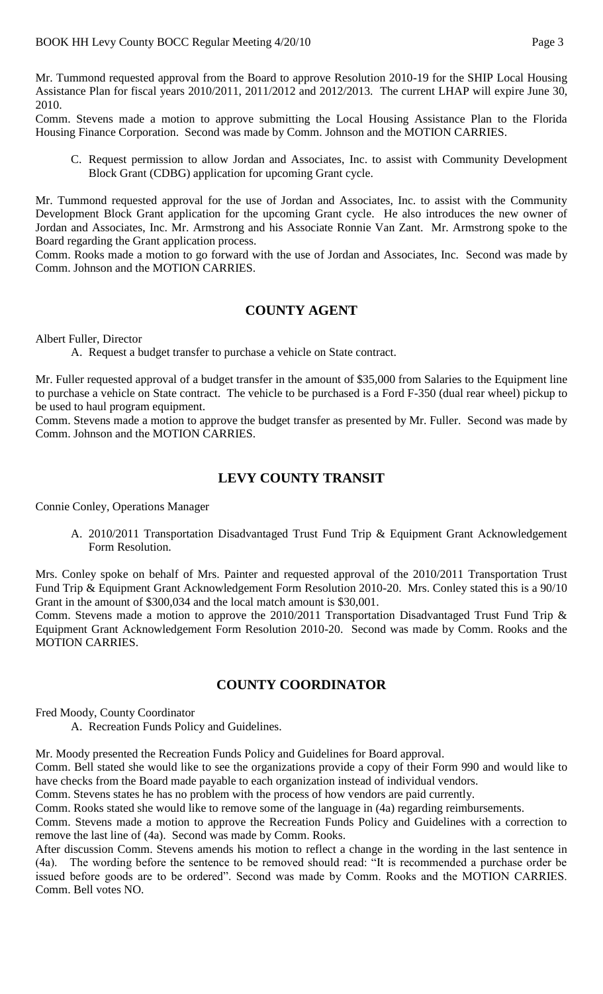Mr. Tummond requested approval from the Board to approve Resolution 2010-19 for the SHIP Local Housing Assistance Plan for fiscal years 2010/2011, 2011/2012 and 2012/2013. The current LHAP will expire June 30, 2010.

Comm. Stevens made a motion to approve submitting the Local Housing Assistance Plan to the Florida Housing Finance Corporation. Second was made by Comm. Johnson and the MOTION CARRIES.

C. Request permission to allow Jordan and Associates, Inc. to assist with Community Development Block Grant (CDBG) application for upcoming Grant cycle.

Mr. Tummond requested approval for the use of Jordan and Associates, Inc. to assist with the Community Development Block Grant application for the upcoming Grant cycle. He also introduces the new owner of Jordan and Associates, Inc. Mr. Armstrong and his Associate Ronnie Van Zant. Mr. Armstrong spoke to the Board regarding the Grant application process.

Comm. Rooks made a motion to go forward with the use of Jordan and Associates, Inc. Second was made by Comm. Johnson and the MOTION CARRIES.

## **COUNTY AGENT**

Albert Fuller, Director

A. Request a budget transfer to purchase a vehicle on State contract.

Mr. Fuller requested approval of a budget transfer in the amount of \$35,000 from Salaries to the Equipment line to purchase a vehicle on State contract. The vehicle to be purchased is a Ford F-350 (dual rear wheel) pickup to be used to haul program equipment.

Comm. Stevens made a motion to approve the budget transfer as presented by Mr. Fuller. Second was made by Comm. Johnson and the MOTION CARRIES.

## **LEVY COUNTY TRANSIT**

Connie Conley, Operations Manager

A. 2010/2011 Transportation Disadvantaged Trust Fund Trip & Equipment Grant Acknowledgement Form Resolution.

Mrs. Conley spoke on behalf of Mrs. Painter and requested approval of the 2010/2011 Transportation Trust Fund Trip & Equipment Grant Acknowledgement Form Resolution 2010-20. Mrs. Conley stated this is a 90/10 Grant in the amount of \$300,034 and the local match amount is \$30,001.

Comm. Stevens made a motion to approve the 2010/2011 Transportation Disadvantaged Trust Fund Trip & Equipment Grant Acknowledgement Form Resolution 2010-20. Second was made by Comm. Rooks and the MOTION CARRIES.

# **COUNTY COORDINATOR**

Fred Moody, County Coordinator

A. Recreation Funds Policy and Guidelines.

Mr. Moody presented the Recreation Funds Policy and Guidelines for Board approval.

Comm. Bell stated she would like to see the organizations provide a copy of their Form 990 and would like to have checks from the Board made payable to each organization instead of individual vendors.

Comm. Stevens states he has no problem with the process of how vendors are paid currently.

Comm. Rooks stated she would like to remove some of the language in (4a) regarding reimbursements.

Comm. Stevens made a motion to approve the Recreation Funds Policy and Guidelines with a correction to remove the last line of (4a). Second was made by Comm. Rooks.

After discussion Comm. Stevens amends his motion to reflect a change in the wording in the last sentence in (4a). The wording before the sentence to be removed should read: "It is recommended a purchase order be issued before goods are to be ordered". Second was made by Comm. Rooks and the MOTION CARRIES. Comm. Bell votes NO.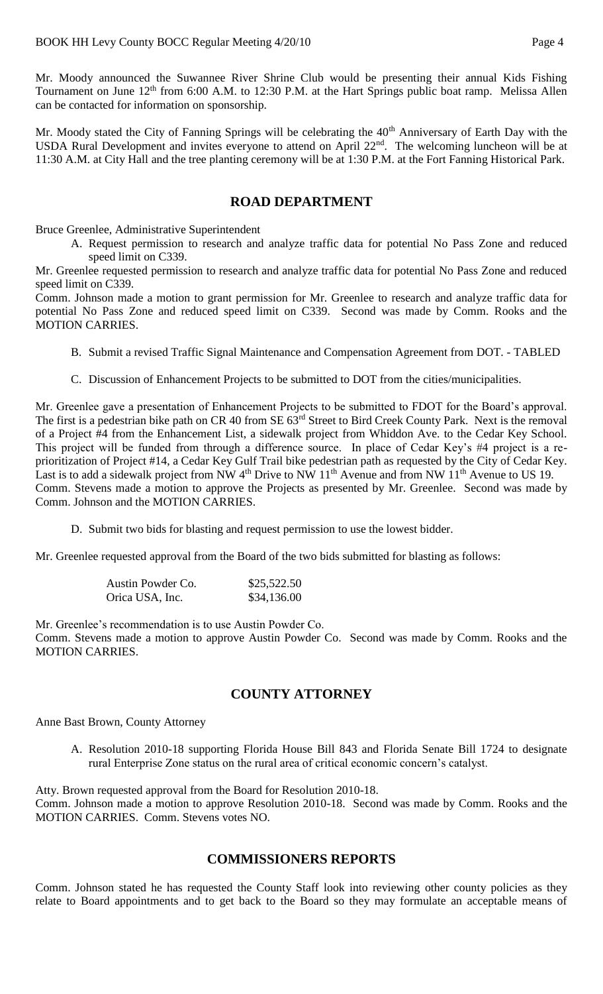Mr. Moody announced the Suwannee River Shrine Club would be presenting their annual Kids Fishing Tournament on June 12<sup>th</sup> from 6:00 A.M. to 12:30 P.M. at the Hart Springs public boat ramp. Melissa Allen can be contacted for information on sponsorship.

Mr. Moody stated the City of Fanning Springs will be celebrating the 40<sup>th</sup> Anniversary of Earth Day with the USDA Rural Development and invites everyone to attend on April 22<sup>nd</sup>. The welcoming luncheon will be at 11:30 A.M. at City Hall and the tree planting ceremony will be at 1:30 P.M. at the Fort Fanning Historical Park.

## **ROAD DEPARTMENT**

Bruce Greenlee, Administrative Superintendent

A. Request permission to research and analyze traffic data for potential No Pass Zone and reduced speed limit on C339.

Mr. Greenlee requested permission to research and analyze traffic data for potential No Pass Zone and reduced speed limit on C339.

Comm. Johnson made a motion to grant permission for Mr. Greenlee to research and analyze traffic data for potential No Pass Zone and reduced speed limit on C339. Second was made by Comm. Rooks and the MOTION CARRIES.

- B. Submit a revised Traffic Signal Maintenance and Compensation Agreement from DOT. TABLED
- C. Discussion of Enhancement Projects to be submitted to DOT from the cities/municipalities.

Mr. Greenlee gave a presentation of Enhancement Projects to be submitted to FDOT for the Board's approval. The first is a pedestrian bike path on CR 40 from SE  $63<sup>rd</sup>$  Street to Bird Creek County Park. Next is the removal of a Project #4 from the Enhancement List, a sidewalk project from Whiddon Ave. to the Cedar Key School. This project will be funded from through a difference source. In place of Cedar Key's #4 project is a reprioritization of Project #14, a Cedar Key Gulf Trail bike pedestrian path as requested by the City of Cedar Key. Last is to add a sidewalk project from NW  $4<sup>th</sup>$  Drive to NW  $11<sup>th</sup>$  Avenue and from NW  $11<sup>th</sup>$  Avenue to US 19. Comm. Stevens made a motion to approve the Projects as presented by Mr. Greenlee. Second was made by Comm. Johnson and the MOTION CARRIES.

D. Submit two bids for blasting and request permission to use the lowest bidder.

Mr. Greenlee requested approval from the Board of the two bids submitted for blasting as follows:

| Austin Powder Co. | \$25,522.50 |
|-------------------|-------------|
| Orica USA, Inc.   | \$34,136.00 |

Mr. Greenlee's recommendation is to use Austin Powder Co. Comm. Stevens made a motion to approve Austin Powder Co. Second was made by Comm. Rooks and the MOTION CARRIES.

# **COUNTY ATTORNEY**

Anne Bast Brown, County Attorney

A. Resolution 2010-18 supporting Florida House Bill 843 and Florida Senate Bill 1724 to designate rural Enterprise Zone status on the rural area of critical economic concern's catalyst.

Atty. Brown requested approval from the Board for Resolution 2010-18. Comm. Johnson made a motion to approve Resolution 2010-18. Second was made by Comm. Rooks and the MOTION CARRIES. Comm. Stevens votes NO.

### **COMMISSIONERS REPORTS**

Comm. Johnson stated he has requested the County Staff look into reviewing other county policies as they relate to Board appointments and to get back to the Board so they may formulate an acceptable means of